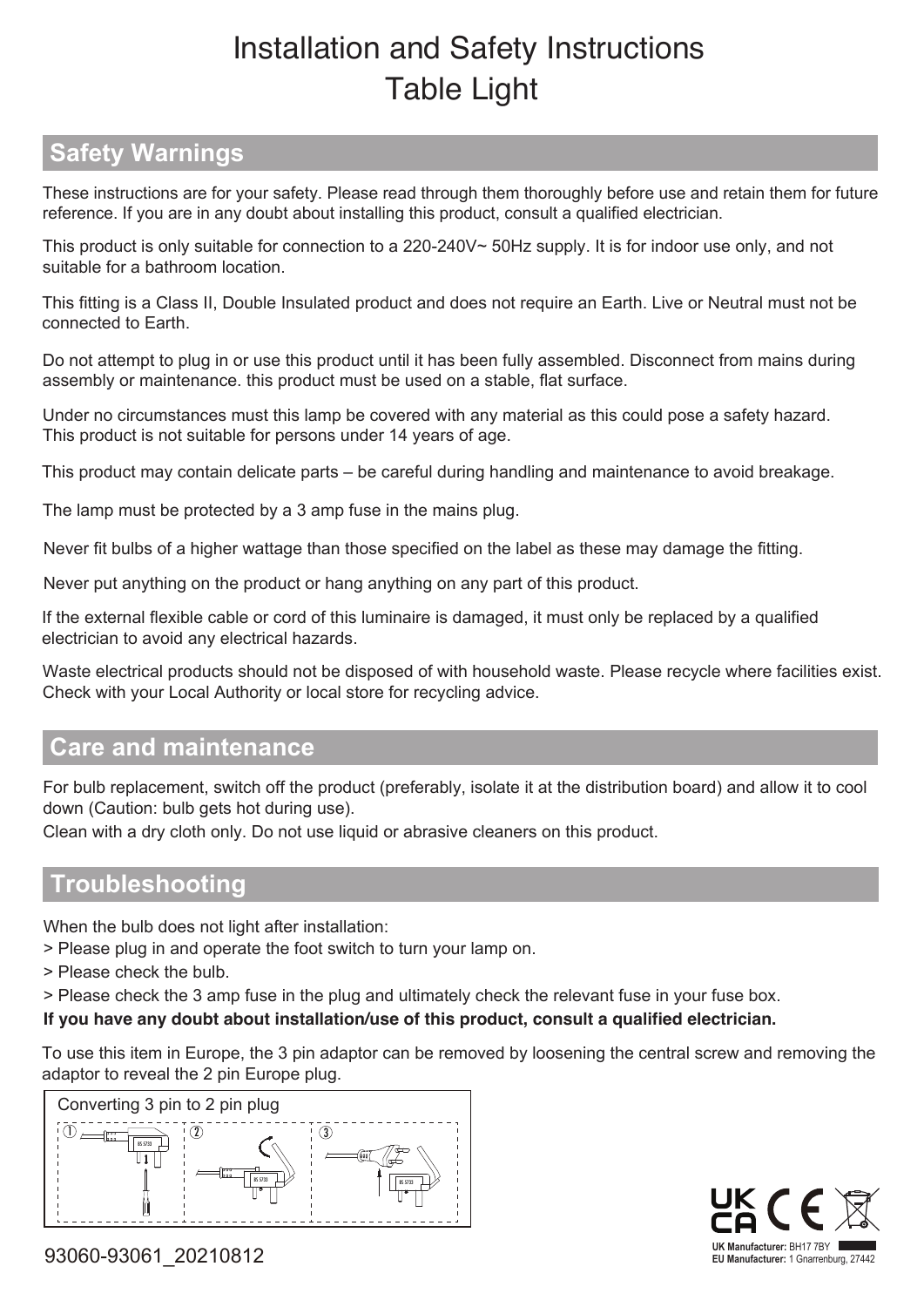## Installation and Safety Instructions Table Light

## **Safety Warnings**

 These instructions are for your safety. Please read through them thoroughly before use and retain them for future reference. If you are in any doubt about installing this product, consult a qualified electrician.

This product is only suitable for connection to a 220-240V~ 50Hz supply. It is for indoor use only, and not suitable for a bathroom location.

This fitting is a Class II, Double Insulated product and does not require an Earth. Live or Neutral must not be connected to Earth.

Do not attempt to plug in or use this product until it has been fully assembled. Disconnect from mains during assembly or maintenance. this product must be used on a stable, flat surface.

Under no circumstances must this lamp be covered with any material as this could pose a safety hazard. This product is not suitable for persons under 14 years of age.

This product may contain delicate parts – be careful during handling and maintenance to avoid breakage.

The lamp must be protected by a 3 amp fuse in the mains plug.

Never fit bulbs of a higher wattage than those specified on the label as these may damage the fitting.

Never put anything on the product or hang anything on any part of this product.

If the external flexible cable or cord of this luminaire is damaged, it must only be replaced by a qualified electrician to avoid any electrical hazards.

Waste electrical products should not be disposed of with household waste. Please recycle where facilities exist. Check with your Local Authority or local store for recycling advice.

## **Care and maintenance**

For bulb replacement, switch off the product (preferably, isolate it at the distribution board) and allow it to cool down (Caution: bulb gets hot during use).

Clean with a dry cloth only. Do not use liquid or abrasive cleaners on this product.

## **Troubleshooting**

When the bulb does not light after installation:

> Please plug in and operate the foot switch to turn your lamp on.

> Please check the bulb.

> Please check the 3 amp fuse in the plug and ultimately check the relevant fuse in your fuse box.

**If you have any doubt about installation/use of this product, consult a qualified electrician.**

To use this item in Europe, the 3 pin adaptor can be removed by loosening the central screw and removing the adaptor to reveal the 2 pin Europe plug.





93060-93061\_20210812 **EU Manufacturer:** 1 Gnarrenburg, 27442